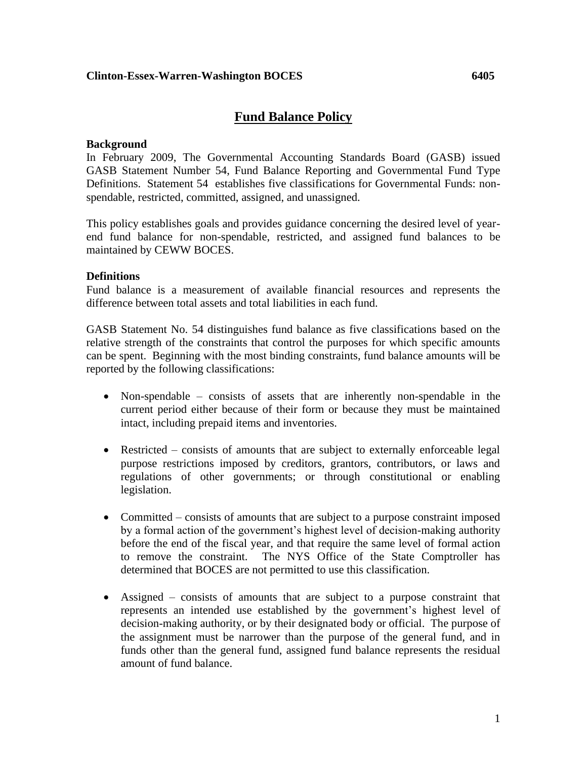# **Fund Balance Policy**

#### **Background**

In February 2009, The Governmental Accounting Standards Board (GASB) issued GASB Statement Number 54, Fund Balance Reporting and Governmental Fund Type Definitions. Statement 54 establishes five classifications for Governmental Funds: nonspendable, restricted, committed, assigned, and unassigned.

This policy establishes goals and provides guidance concerning the desired level of yearend fund balance for non-spendable, restricted, and assigned fund balances to be maintained by CEWW BOCES.

#### **Definitions**

Fund balance is a measurement of available financial resources and represents the difference between total assets and total liabilities in each fund.

GASB Statement No. 54 distinguishes fund balance as five classifications based on the relative strength of the constraints that control the purposes for which specific amounts can be spent. Beginning with the most binding constraints, fund balance amounts will be reported by the following classifications:

- Non-spendable consists of assets that are inherently non-spendable in the current period either because of their form or because they must be maintained intact, including prepaid items and inventories.
- Restricted consists of amounts that are subject to externally enforceable legal purpose restrictions imposed by creditors, grantors, contributors, or laws and regulations of other governments; or through constitutional or enabling legislation.
- Committed consists of amounts that are subject to a purpose constraint imposed by a formal action of the government's highest level of decision-making authority before the end of the fiscal year, and that require the same level of formal action to remove the constraint. The NYS Office of the State Comptroller has determined that BOCES are not permitted to use this classification.
- Assigned consists of amounts that are subject to a purpose constraint that represents an intended use established by the government's highest level of decision-making authority, or by their designated body or official. The purpose of the assignment must be narrower than the purpose of the general fund, and in funds other than the general fund, assigned fund balance represents the residual amount of fund balance.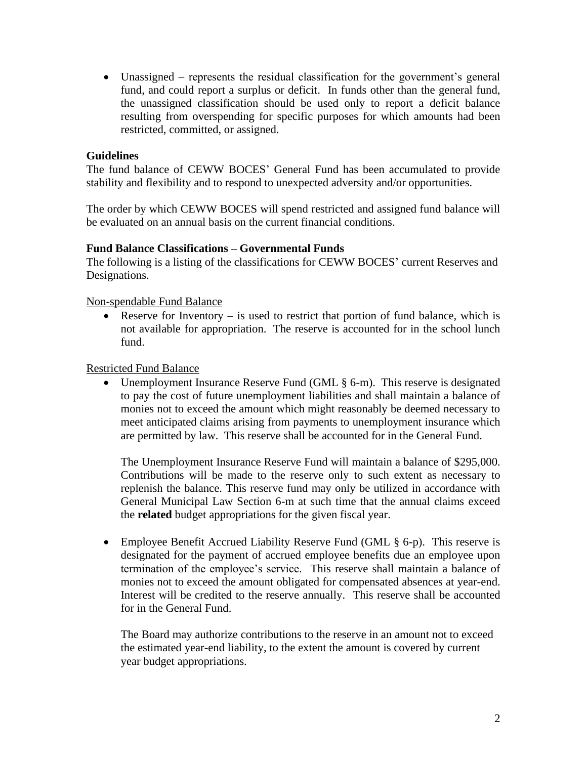• Unassigned – represents the residual classification for the government's general fund, and could report a surplus or deficit. In funds other than the general fund, the unassigned classification should be used only to report a deficit balance resulting from overspending for specific purposes for which amounts had been restricted, committed, or assigned.

## **Guidelines**

The fund balance of CEWW BOCES' General Fund has been accumulated to provide stability and flexibility and to respond to unexpected adversity and/or opportunities.

The order by which CEWW BOCES will spend restricted and assigned fund balance will be evaluated on an annual basis on the current financial conditions.

### **Fund Balance Classifications – Governmental Funds**

The following is a listing of the classifications for CEWW BOCES' current Reserves and Designations.

### Non-spendable Fund Balance

Reserve for Inventory  $-$  is used to restrict that portion of fund balance, which is not available for appropriation. The reserve is accounted for in the school lunch fund.

## Restricted Fund Balance

Unemployment Insurance Reserve Fund (GML § 6-m). This reserve is designated to pay the cost of future unemployment liabilities and shall maintain a balance of monies not to exceed the amount which might reasonably be deemed necessary to meet anticipated claims arising from payments to unemployment insurance which are permitted by law. This reserve shall be accounted for in the General Fund.

The Unemployment Insurance Reserve Fund will maintain a balance of \$295,000. Contributions will be made to the reserve only to such extent as necessary to replenish the balance. This reserve fund may only be utilized in accordance with General Municipal Law Section 6-m at such time that the annual claims exceed the **related** budget appropriations for the given fiscal year.

• Employee Benefit Accrued Liability Reserve Fund (GML § 6-p). This reserve is designated for the payment of accrued employee benefits due an employee upon termination of the employee's service. This reserve shall maintain a balance of monies not to exceed the amount obligated for compensated absences at year-end. Interest will be credited to the reserve annually. This reserve shall be accounted for in the General Fund.

The Board may authorize contributions to the reserve in an amount not to exceed the estimated year-end liability, to the extent the amount is covered by current year budget appropriations.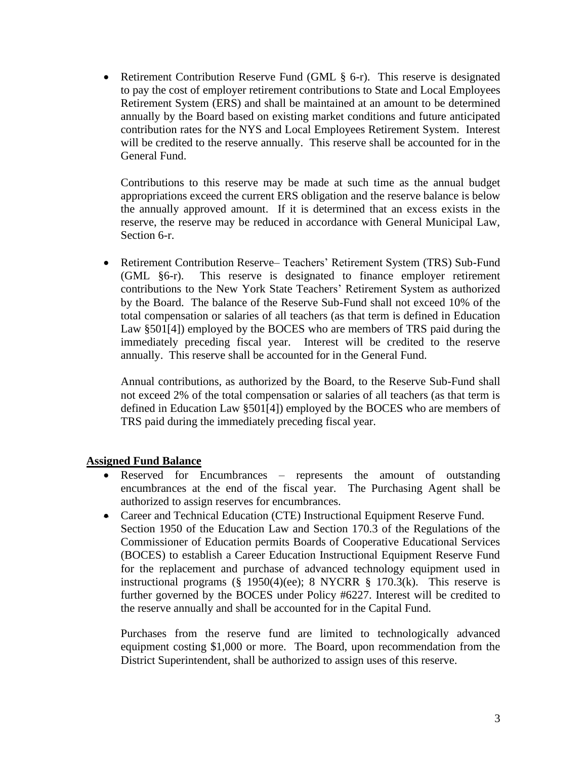• Retirement Contribution Reserve Fund (GML § 6-r). This reserve is designated to pay the cost of employer retirement contributions to State and Local Employees Retirement System (ERS) and shall be maintained at an amount to be determined annually by the Board based on existing market conditions and future anticipated contribution rates for the NYS and Local Employees Retirement System. Interest will be credited to the reserve annually. This reserve shall be accounted for in the General Fund.

Contributions to this reserve may be made at such time as the annual budget appropriations exceed the current ERS obligation and the reserve balance is below the annually approved amount. If it is determined that an excess exists in the reserve, the reserve may be reduced in accordance with General Municipal Law, Section 6-r.

• Retirement Contribution Reserve– Teachers' Retirement System (TRS) Sub-Fund (GML §6-r). This reserve is designated to finance employer retirement contributions to the New York State Teachers' Retirement System as authorized by the Board. The balance of the Reserve Sub-Fund shall not exceed 10% of the total compensation or salaries of all teachers (as that term is defined in Education Law §501[4]) employed by the BOCES who are members of TRS paid during the immediately preceding fiscal year. Interest will be credited to the reserve annually. This reserve shall be accounted for in the General Fund.

Annual contributions, as authorized by the Board, to the Reserve Sub-Fund shall not exceed 2% of the total compensation or salaries of all teachers (as that term is defined in Education Law §501[4]) employed by the BOCES who are members of TRS paid during the immediately preceding fiscal year.

### **Assigned Fund Balance**

- Reserved for Encumbrances represents the amount of outstanding encumbrances at the end of the fiscal year. The Purchasing Agent shall be authorized to assign reserves for encumbrances.
- Career and Technical Education (CTE) Instructional Equipment Reserve Fund. Section 1950 of the Education Law and Section 170.3 of the Regulations of the Commissioner of Education permits Boards of Cooperative Educational Services (BOCES) to establish a Career Education Instructional Equipment Reserve Fund for the replacement and purchase of advanced technology equipment used in instructional programs  $(\S 1950(4)(ee))$ ; 8 NYCRR  $\S 170.3(k)$ . This reserve is further governed by the BOCES under Policy #6227. Interest will be credited to the reserve annually and shall be accounted for in the Capital Fund.

Purchases from the reserve fund are limited to technologically advanced equipment costing \$1,000 or more. The Board, upon recommendation from the District Superintendent, shall be authorized to assign uses of this reserve.